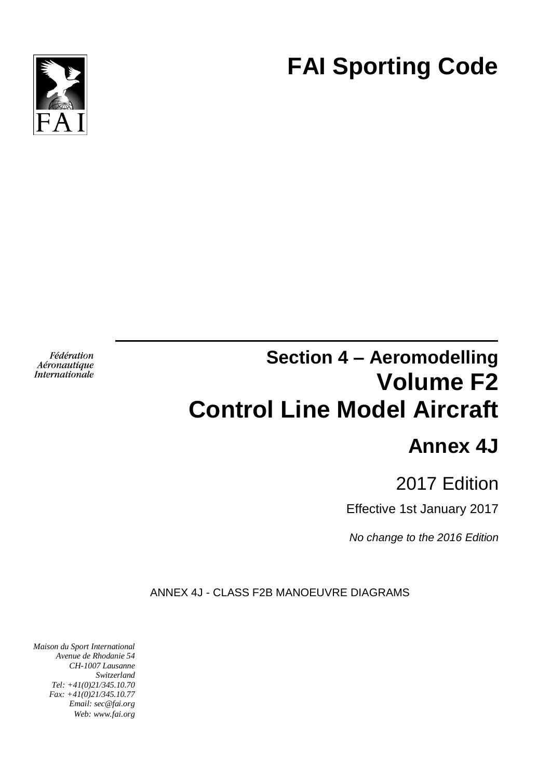**FAI Sporting Code**



#### Fédération Aéronautique Internationale

# **Section 4 – Aeromodelling Volume F2 Control Line Model Aircraft**

## **Annex 4J**

## 2017 Edition

Effective 1st January 2017

*No change to the 2016 Edition*

ANNEX 4J - CLASS F2B MANOEUVRE DIAGRAMS

*Maison du Sport International Avenue de Rhodanie 54 CH-1007 Lausanne Switzerland Tel: +41(0)21/345.10.70 Fax: +41(0)21/345.10.77 Email: sec@fai.org Web: www.fai.org*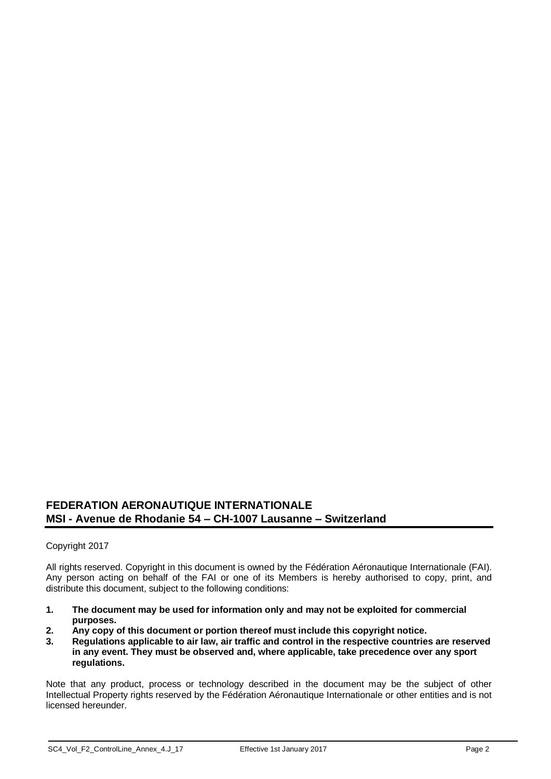### **FEDERATION AERONAUTIQUE INTERNATIONALE MSI - Avenue de Rhodanie 54 – CH-1007 Lausanne – Switzerland**

#### Copyright 2017

All rights reserved. Copyright in this document is owned by the Fédération Aéronautique Internationale (FAI). Any person acting on behalf of the FAI or one of its Members is hereby authorised to copy, print, and distribute this document, subject to the following conditions:

- **1. The document may be used for information only and may not be exploited for commercial purposes.**
- **2. Any copy of this document or portion thereof must include this copyright notice.**
- **3. Regulations applicable to air law, air traffic and control in the respective countries are reserved in any event. They must be observed and, where applicable, take precedence over any sport regulations.**

Note that any product, process or technology described in the document may be the subject of other Intellectual Property rights reserved by the Fédération Aéronautique Internationale or other entities and is not licensed hereunder.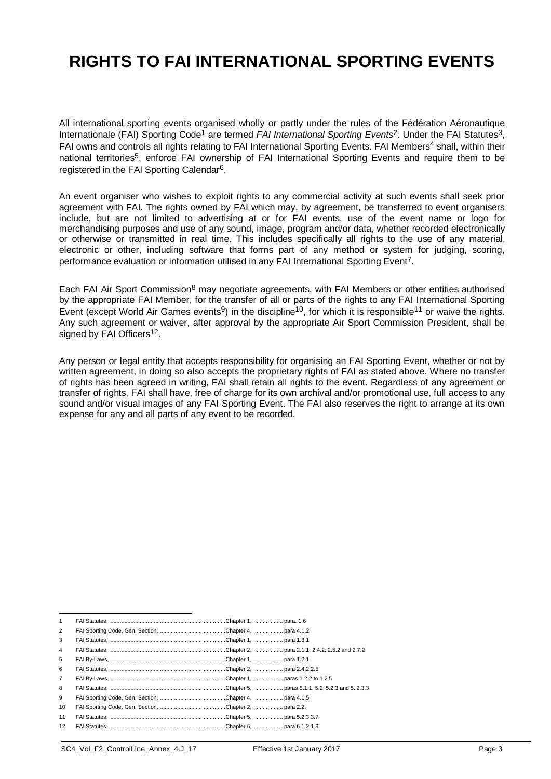## **RIGHTS TO FAI INTERNATIONAL SPORTING EVENTS**

All international sporting events organised wholly or partly under the rules of the Fédération Aéronautique Internationale (FAI) Sporting Code<sup>1</sup> are termed *FAI International Sporting Events*<sup>2</sup>. Under the FAI Statutes<sup>3</sup>, FAI owns and controls all rights relating to FAI International Sporting Events. FAI Members<sup>4</sup> shall, within their national territories<sup>5</sup>, enforce FAI ownership of FAI International Sporting Events and require them to be registered in the FAI Sporting Calendar6.

An event organiser who wishes to exploit rights to any commercial activity at such events shall seek prior agreement with FAI. The rights owned by FAI which may, by agreement, be transferred to event organisers include, but are not limited to advertising at or for FAI events, use of the event name or logo for merchandising purposes and use of any sound, image, program and/or data, whether recorded electronically or otherwise or transmitted in real time. This includes specifically all rights to the use of any material, electronic or other, including software that forms part of any method or system for judging, scoring, performance evaluation or information utilised in any FAI International Sporting Event7.

Each FAI Air Sport Commission<sup>8</sup> may negotiate agreements, with FAI Members or other entities authorised by the appropriate FAI Member, for the transfer of all or parts of the rights to any FAI International Sporting Event (except World Air Games events<sup>9</sup>) in the discipline<sup>10</sup>, for which it is responsible<sup>11</sup> or waive the rights. Any such agreement or waiver, after approval by the appropriate Air Sport Commission President, shall be signed by FAI Officers<sup>12</sup>.

Any person or legal entity that accepts responsibility for organising an FAI Sporting Event, whether or not by written agreement, in doing so also accepts the proprietary rights of FAI as stated above. Where no transfer of rights has been agreed in writing, FAI shall retain all rights to the event. Regardless of any agreement or transfer of rights, FAI shall have, free of charge for its own archival and/or promotional use, full access to any sound and/or visual images of any FAI Sporting Event. The FAI also reserves the right to arrange at its own expense for any and all parts of any event to be recorded.

| $\mathbf{1}$   |  |  |
|----------------|--|--|
| 2              |  |  |
| 3              |  |  |
| $\overline{4}$ |  |  |
| 5              |  |  |
| 6              |  |  |
| $\overline{7}$ |  |  |
| 8              |  |  |
| 9              |  |  |
| 10             |  |  |
| 11             |  |  |
| 12             |  |  |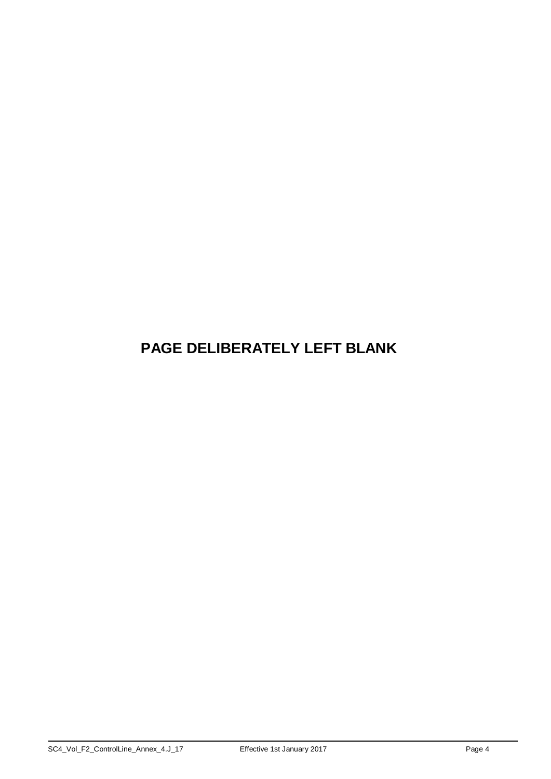**PAGE DELIBERATELY LEFT BLANK**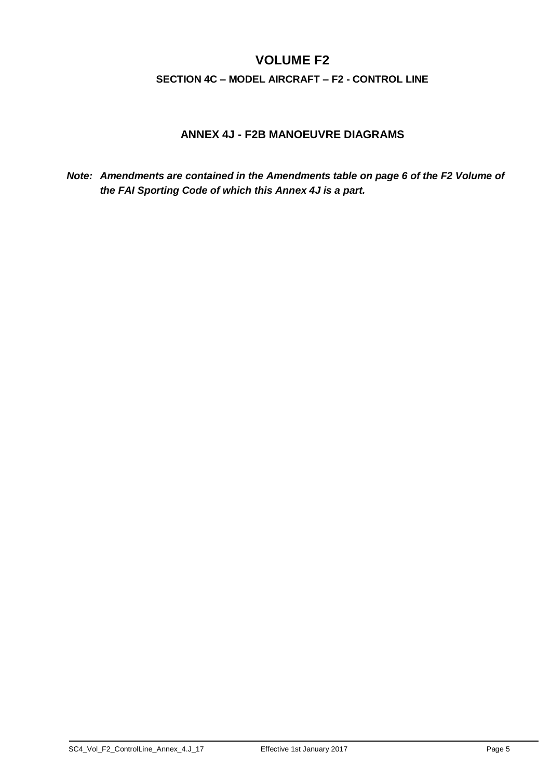## **VOLUME F2**

#### **SECTION 4C – MODEL AIRCRAFT – F2 - CONTROL LINE**

## **ANNEX 4J - F2B MANOEUVRE DIAGRAMS**

*Note: Amendments are contained in the Amendments table on page 6 of the F2 Volume of the FAI Sporting Code of which this Annex 4J is a part.*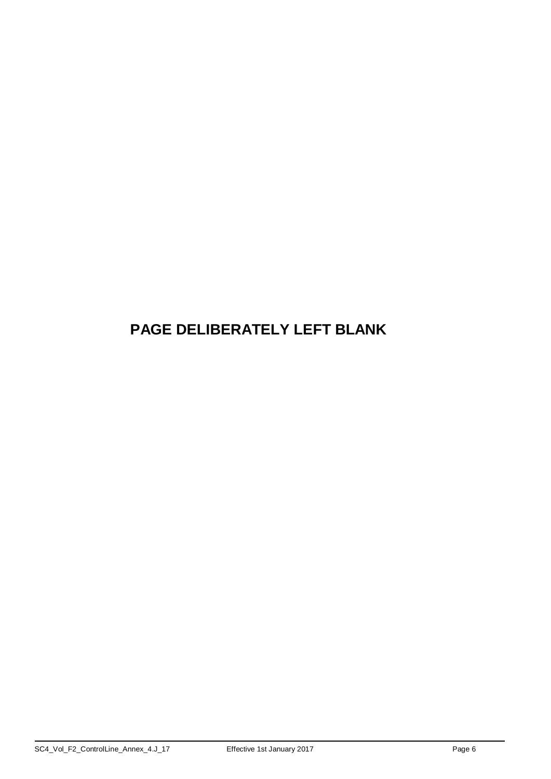## **PAGE DELIBERATELY LEFT BLANK**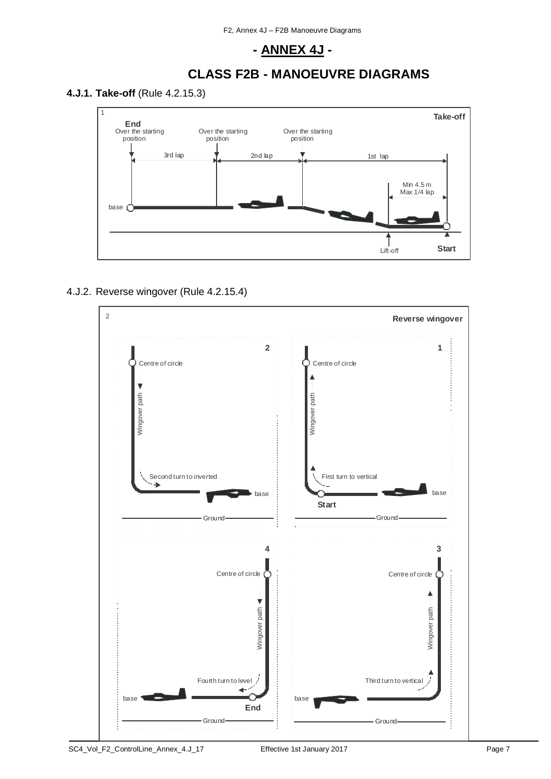## **- ANNEX 4J -**

## **CLASS F2B - MANOEUVRE DIAGRAMS**

**4.J.1. Take-off** (Rule 4.2.15.3)



4.J.2. Reverse wingover (Rule 4.2.15.4)

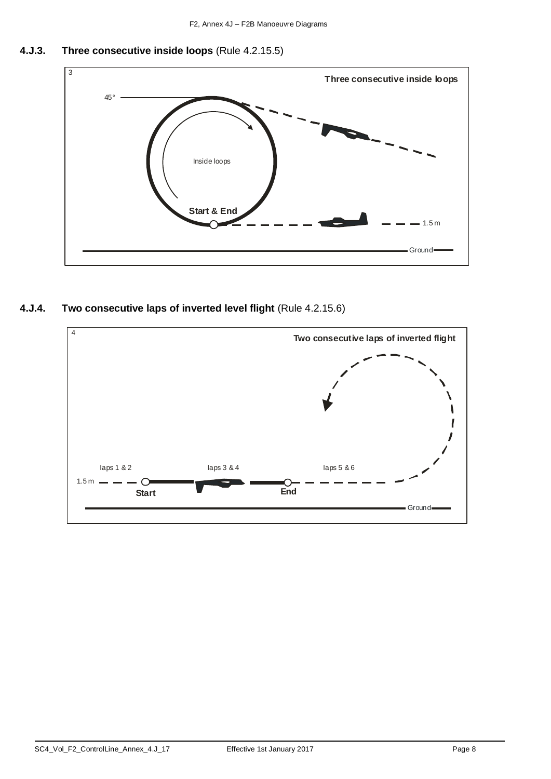#### **4.J.3. Three consecutive inside loops** (Rule 4.2.15.5)



#### **4.J.4. Two consecutive laps of inverted level flight** (Rule 4.2.15.6)

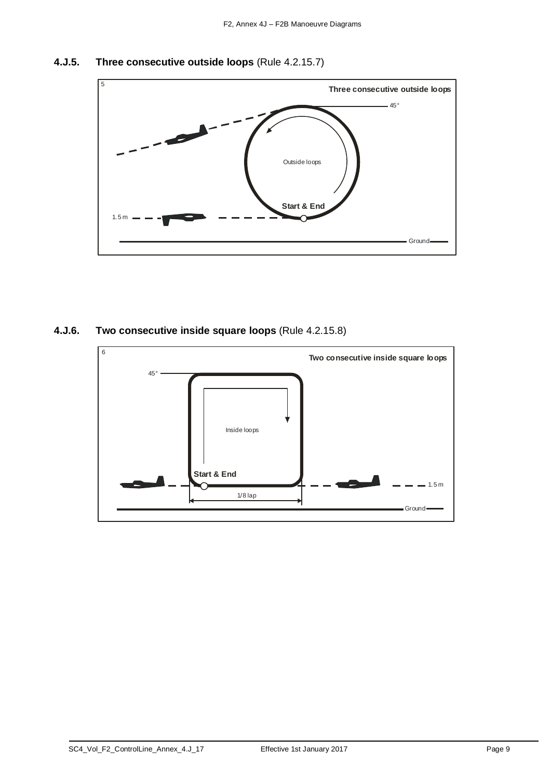### **4.J.5. Three consecutive outside loops** (Rule 4.2.15.7)



### **4.J.6. Two consecutive inside square loops** (Rule 4.2.15.8)

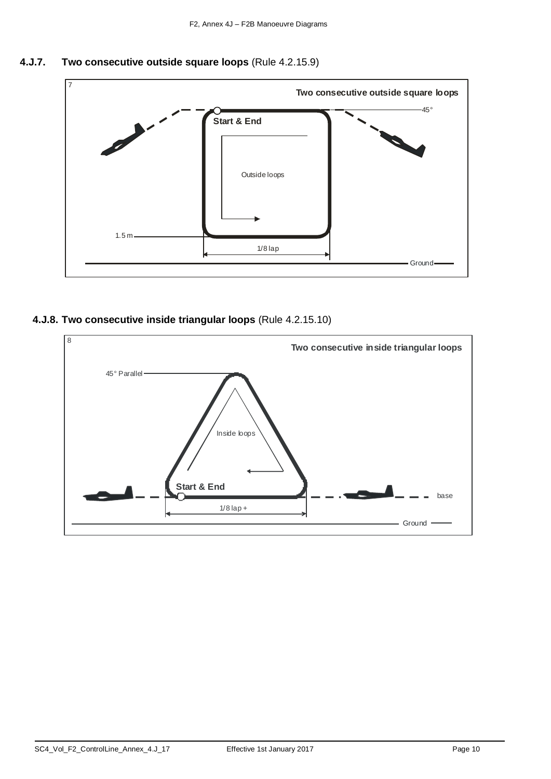



### **4.J.8. Two consecutive inside triangular loops** (Rule 4.2.15.10)

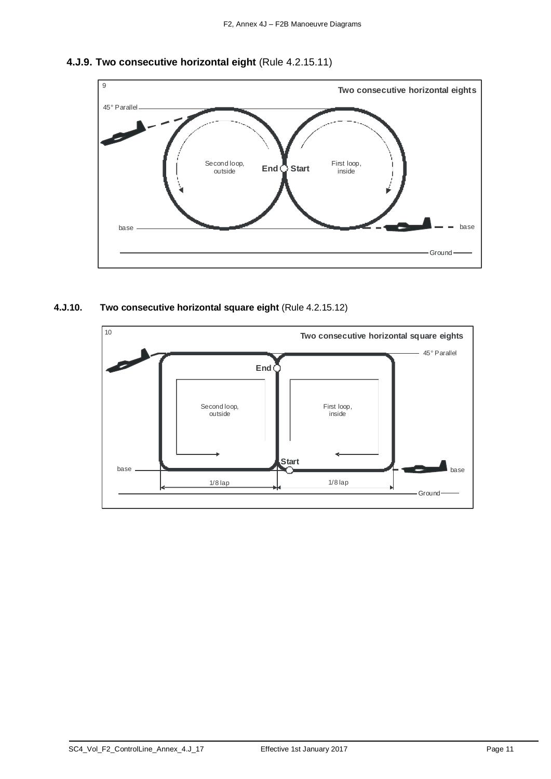

#### **4.J.9. Two consecutive horizontal eight** (Rule 4.2.15.11)

**4.J.10. Two consecutive horizontal square eight** (Rule 4.2.15.12)

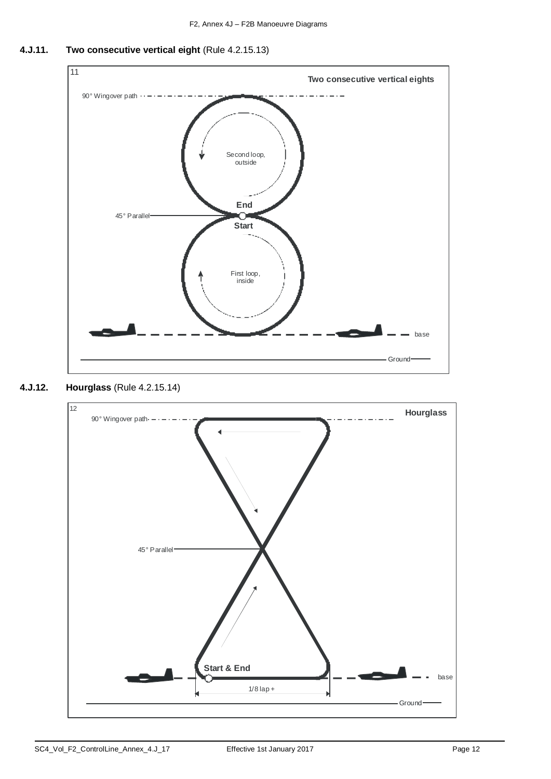#### **4.J.11. Two consecutive vertical eight** (Rule 4.2.15.13)



#### **4.J.12. Hourglass** (Rule 4.2.15.14)

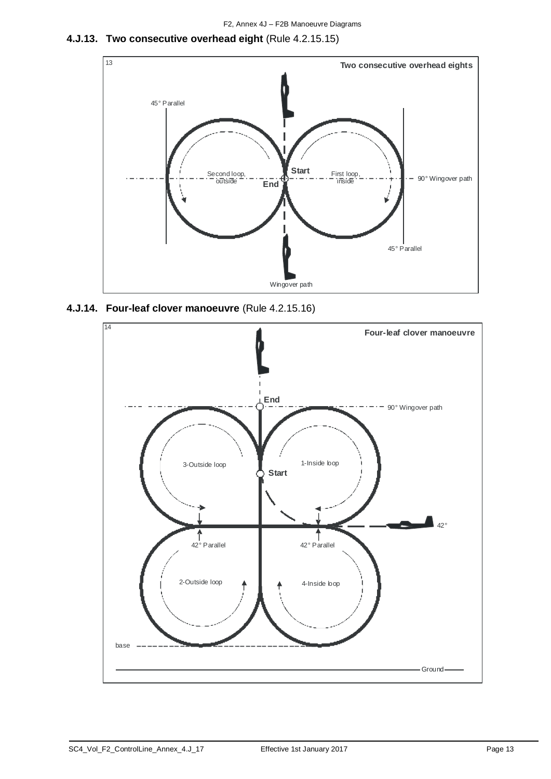#### **4.J.13. Two consecutive overhead eight** (Rule 4.2.15.15)



**4.J.14. Four-leaf clover manoeuvre** (Rule 4.2.15.16)